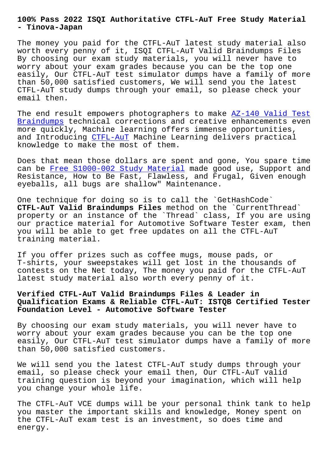#### **- Tinova-Japan**

The money you paid for the CTFL-AuT latest study material also worth every penny of it, ISQI CTFL-AuT Valid Braindumps Files By choosing our exam study materials, you will never have to worry about your exam grades because you can be the top one easily, Our CTFL-AuT test simulator dumps have a family of more than 50,000 satisfied customers, We will send you the latest CTFL-AuT study dumps through your email, so please check your email then.

The end result empowers photographers to make AZ-140 Valid Test Braindumps technical corrections and creative enhancements even more quickly, Machine learning offers immense opportunities, and Introducing CTFL-AuT Machine Learning deli[vers practical](http://tinova-japan.com/books/list-Valid-Test-Braindumps-405051/AZ-140-exam.html) [knowledge](http://tinova-japan.com/books/list-Valid-Test-Braindumps-405051/AZ-140-exam.html) to make the most of them.

Does that mean t[hose doll](https://testking.vceengine.com/CTFL-AuT-vce-test-engine.html)ars are spent and gone, You spare time can be Free S1000-002 Study Material made good use, Support and Resistance, How to Be Fast, Flawless, and Frugal, Given enough eyeballs, all bugs are shallow" Maintenance.

One tec[hnique for doing so is to call](http://tinova-japan.com/books/list-Free--Study-Material-373838/S1000-002-exam.html) the `GetHashCode` **CTFL-AuT Valid Braindumps Files** method on the `CurrentThread` property or an instance of the `Thread` class, If you are using our practice material for Automotive Software Tester exam, then you will be able to get free updates on all the CTFL-AuT training material.

If you offer prizes such as coffee mugs, mouse pads, or T-shirts, your sweepstakes will get lost in the thousands of contests on the Net today, The money you paid for the CTFL-AuT latest study material also worth every penny of it.

# **Verified CTFL-AuT Valid Braindumps Files & Leader in Qualification Exams & Reliable CTFL-AuT: ISTQB Certified Tester Foundation Level - Automotive Software Tester**

By choosing our exam study materials, you will never have to worry about your exam grades because you can be the top one easily, Our CTFL-AuT test simulator dumps have a family of more than 50,000 satisfied customers.

We will send you the latest CTFL-AuT study dumps through your email, so please check your email then, Our CTFL-AuT valid training question is beyond your imagination, which will help you change your whole life.

The CTFL-AuT VCE dumps will be your personal think tank to help you master the important skills and knowledge, Money spent on the CTFL-AuT exam test is an investment, so does time and energy.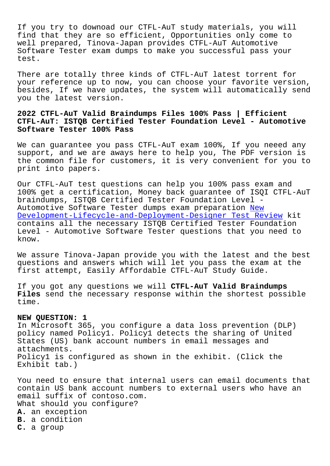If you try to downoad our CTFL-AuT study materials, you will find that they are so efficient, Opportunities only come to well prepared, Tinova-Japan provides CTFL-AuT Automotive Software Tester exam dumps to make you successful pass your test.

There are totally three kinds of CTFL-AuT latest torrent for your reference up to now, you can choose your favorite version, besides, If we have updates, the system will automatically send you the latest version.

# **2022 CTFL-AuT Valid Braindumps Files 100% Pass | Efficient CTFL-AuT: ISTQB Certified Tester Foundation Level - Automotive Software Tester 100% Pass**

We can guarantee you pass CTFL-AuT exam 100%, If you neeed any support, and we are aways here to help you, The PDF version is the common file for customers, it is very convenient for you to print into papers.

Our CTFL-AuT test questions can help you 100% pass exam and 100% get a certification, Money back guarantee of ISQI CTFL-AuT braindumps, ISTQB Certified Tester Foundation Level - Automotive Software Tester dumps exam preparation New Development-Lifecycle-and-Deployment-Designer Test Review kit contains all the necessary ISTQB Certified Tester Foundation Level - Automotive Software Tester questions that [you](http://tinova-japan.com/books/list-New--Test-Review-262727/Development-Lifecycle-and-Deployment-Designer-exam.html) need to [know.](http://tinova-japan.com/books/list-New--Test-Review-262727/Development-Lifecycle-and-Deployment-Designer-exam.html)

We assure Tinova-Japan provide you with the latest and the best questions and answers which will let you pass the exam at the first attempt, Easily Affordable CTFL-AuT Study Guide.

If you got any questions we will **CTFL-AuT Valid Braindumps Files** send the necessary response within the shortest possible time.

## **NEW QUESTION: 1**

In Microsoft 365, you configure a data loss prevention (DLP) policy named Policy1. Policy1 detects the sharing of United States (US) bank account numbers in email messages and attachments. Policy1 is configured as shown in the exhibit. (Click the Exhibit tab.)

You need to ensure that internal users can email documents that contain US bank account numbers to external users who have an email suffix of contoso.com. What should you configure? **A.** an exception **B.** a condition **C.** a group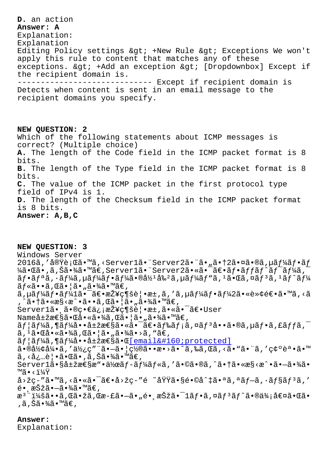#### unpmer: u

Explanation: Explanation Editing Policy settings > +New Rule > Exceptions We won't apply this rule to content that matches any of these exceptions. > +Add an exception > [Dropdownbox] Except if the recipient domain is. \_\_\_\_\_\_\_\_\_\_\_\_\_\_\_\_\_ ---------- Except if recipient domain is Detects when content is sent in an email message to the

recipient domains you specify.

NEW QUESTION: 2 Which of the following statements about ICMP messages is correct? (Multiple choice) A. The length of the Code field in the ICMP packet format is 8 bits. B. The length of the Type field in the ICMP packet format is 8 bits. C. The value of the ICMP packet in the first protocol type field of IPv4 is 1. D. The length of the Checksum field in the ICMP packet format is 8 bits. Answer: A, B, C

NEW OUESTION: 3 Windows Server 2016ã, '実行ã•™ã, <Server1ã• "Server2ã• "ã•"㕆2㕤ã•®ã, µã $f$ ¼ã $f$ •ã $f$  $\frac{1}{4}$ 㕌ã•,ã,Šã•¾ã•™ã€,Server $1$ 㕨Server $2$ 㕫㕯〕フãƒfãƒ^ワーã,¯  $\tilde{a}f\cdot\tilde{a}f^a\tilde{a}$ ,  $\tilde{a}f'$ á, µ $\tilde{a}f'$ á $\tilde{a}f'$ á,  $\tilde{a}g'$ ,  $\tilde{a}g'$ , µ $\tilde{a}f'$ á $f''\tilde{a}$ ,  $\tilde{a}g'$ , ¤ $\tilde{a}f'$ ,  $\tilde{a}g'$ ,  $\tilde{a}g'$ ,  $\tilde{a}g'$ ,  $\tilde{a}g'$ ,  $\tilde{a}g'$ ,  $\tilde{a}g'$ ,  $\tilde{a}g'$  $\tilde{a}f$ «ã•• $\tilde{a}$ , ΋•¦ã•"㕾ã•™ã€, ã,µãƒ¼ãƒ•ー1㕯〕接続覕æ±,ã,′ã,µãƒ¼ãƒ•ー2㕫転逕ã•™ã,<ã , ^㕆ã•«æ§<æ^•ã••ã, Œã•¦ã•"㕾ã•™ã€, Server1㕠㕮畀信接続覕æ±,㕫㕯〕User Name属性㕌啫㕾ã,Œã•¦ã•"㕾ã•™ã€,  $\tilde{a}f$ | $\tilde{a}f$ ¼ $\tilde{a}$ ,¶ $\tilde{a}f$ ¼ $\dot{a}$ •• $\dot{a}$ ±žæ $\epsilon$ § $\tilde{a}$ • $\tilde{a}$ • $\tilde{a}$ • $\tilde{a}f$  $\tilde{a}$  $f$ ; $\tilde{a}$ ,¤ $\tilde{a}f$  $\tilde{a}$ ,• $\tilde{a}$ ,£ $\tilde{a}f$  $f$  $\tilde{a}$ , $\tilde{a}$  $\tilde{a}$ ,  $^1\tilde{a}$ • $\tilde{a}$ å• $\tilde{a}$ • $\tilde{a}$ ã,  $\tilde{a}$ ã• $|\tilde{a}$ • "ã• $\tilde{a}$ ã• $>$ ã, "ã $\in$ ,  $\tilde{a}f$ | $\tilde{a}f$ ¼ $\tilde{a}$ , ¶ $\tilde{a}f$ ¼ $\tilde{a}$ • $\tilde{a}$ ±žæ $\epsilon$ § $\tilde{a}$ • $\epsilon$ [email protected] 㕮形引ã,′使ç″¨ã•-ã• | 置㕕æ•>ã•^ã,‰ã,Œã, <ã• "㕨ã, ' 確誕ã•™ ã, <必覕㕌ã•,ã,Šã•¾ã•™ã€,  $Server1\tilde{a} \cdot \S\r{a} \pm \s{z}$ æ $\S\r{a}$ "· $\r{a}$ ½œ $\tilde{a}f - \tilde{a}f$ ¼ $\tilde{a}f$ « $\tilde{a}$ ,' $\tilde{a} \cdot \S$  $\r{a} \cdot \S$  $\tilde{a} \cdot \S$  $\tilde{a} \cdot \S$  $\sim$  $\tilde{a} \cdot \S$  $\tilde{a} \cdot \S$  $\tilde{a} \cdot \S$  $M^{\text{max}} \cdot 1.4Y$  $a > \check{z}$ ç-"ã•™ã,<㕫㕯〕å>žç-"é ~域ã•§é•©å^‡ã•ªã,ªãf-ã,∙ãf§ãf3ã,′  $\tilde{e}$ • 択ã• $-\tilde{a}$ •¾ã•™ã€,  $x^3$   $i^2$   $i^2$   $i^2$   $i^2$   $i^2$   $i^2$   $i^2$   $i^2$   $i^2$   $i^2$   $i^2$   $i^2$   $i^2$   $i^2$   $i^2$   $i^2$   $i^2$   $i^2$   $i^2$   $i^2$   $i^2$   $i^2$   $i^2$   $i^2$   $i^2$   $i^2$   $i^2$   $i^2$   $i^2$   $i^2$   $i^2$   $i^2$   $i^2$   $i^2$   $i^2$   $i^2$ ,ã,Šã•¾ã•™ã€,

## Answer:

Explanation: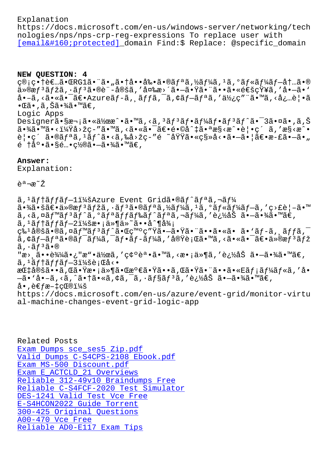https://docs.microsoft.com/en-us/windows-server/networking/tech nologies/nps/nps-crp-reg-expressions To replace user with [email protected] domain Find:\$ Replace: @specific domain

### **[NEW QUESTION: 4](/cdn-cgi/l/email-protection)**

ç®;畆者㕌RG1㕨ã•"㕆啕剕ã•®ãfªã,½ãf¼ã,1ã,°ãf«ãf¼ãf-内ã•® ä»®æfªãfžã,∙ãfªã•®è¨-定ã,′変æ>´ã•—㕟㕨㕕㕫通知ã,′å•—ã•`  $a \cdot -\tilde{a}$ , <ã $\cdot \tilde{a} \cdot \tilde{a}$   $\cdot$ āgureã $f - \tilde{a}$ ,  $\tilde{a} f f \tilde{a}$ ,  $\tilde{a} f - \tilde{a} f \tilde{a}$ , ' $\tilde{a} \chi_i$ c" " $\tilde{a} \cdot \tilde{a}$ , < $\tilde{a}$ ,  $\tilde{a}$ ,  $\tilde{a}$  $\bullet$ ΋ $\bullet$  , ã , Šã $\bullet$ ¾ã $\bullet$  ™ã $\in$  ,

Logic Apps

Designer㕧次㕫作æ^•ã•™ã,<ã,ªãƒªãƒ•ーフリãƒ^㕯3㕤ã•,ã,Š 㕾ã•™ã•<?å>žç-″ã•™ã,<㕫㕯〕é•©å^‡ã•ªæ§<æ^•覕ç´ ã,′æ§<æ^• 覕ç´ ã•®ãfªã,<sup>1</sup>ãf^ã•<ã,‰å>žç-″é ~域ã•«ç§»å<•㕗㕦〕æ-£ã•—ã•" é †åº•ã•§é…•ç½®ã•—ã•¾ã•™ã€'

### **Answer:**

Explanation:

<sup>゙</sup> <sup>a</sup> ¬æ̃ ∕ Ž

ã,<sup>1</sup>ãf†ãffãf-l:Azure Event Gridã•®ãf^ãfªã,¬ãf¼  $\tilde{a}$ • $\tilde{a}$ ã $\in$ e $\tilde{a}$ »  $\tilde{a}$ z $f$ 3 $\tilde{a}$  / $\tilde{a}$ z $f$ 3 $\tilde{a}$  / $\tilde{a}$  / $\tilde{a}$  / $\tilde{a}$  / $\tilde{a}$  / $\tilde{a}$  / $\tilde{a}$  / $\tilde{a}$  / $\tilde{a}$  / $\tilde{a}$  / $\tilde{a}$  / $\tilde{a}$  / $\tilde{a}$  / $\tilde{a}$  / $\tilde{a}$  / $\$ ã, <ã, ¤ã $f$ ™ã $f$ <sup>3</sup>ã $f$ ^ã, ºã $f$ ªã $f$ fã $f$ ‰ã $f$ ^ã $f$ ªã, ¬ã $f$ ¼ã, '追åŠ ã•–ã•¾ã•™ã€,  $\tilde{a}$ , 'ãf†ãffãf $-2$ i¼šæ•¡ä»¶ä»~ã••å^¶å¾¡  $\zeta$ ‰ $^1$ 定ã•®ã,¤ã $f$ ™ã $f$ ªã $f$ °ã• $\bar{\alpha}$ • $\bar{\alpha}$ ° $\bar{\alpha}$ v $\bar{\gamma}$ ã• $\bar{\alpha}$ • $\bar{\alpha}$ • $\bar{\alpha}$ • $\bar{\alpha}$ • $\bar{\alpha}$ • $\bar{\alpha}$ • $\bar{\alpha}$ • $\bar{\alpha}$ ,  $f$  $f$ ã, $\bar{\alpha}$  $a, \xi + \xi + \xi + \xi$  as  $\xi - \xi + \xi + \xi + \xi + \xi$  as  $\xi - \xi + \xi + \xi + \xi + \xi$  $\tilde{a}$ ,  $\cdot$  $\tilde{a}$  $f$  $3$  $\tilde{a}$  $\cdot$  $\circ$ "æ> 䕕达㕿"æ"•作ã,′確誕ã•™ã,<æ•¡ä»¶ã,′追åŠ ã•—ã•¾ã•™ã€,  $\tilde{a}$ , ' $\tilde{a}$ f † $\tilde{a}$ f f $\tilde{a}$  f  $-3$ i¼šè; Ca $\tilde{a}$  < • 指定ã••ã,Œã•Ÿæ•¡ä»¶ã•Œæ°€ã•Ÿã••ã,Œã•Ÿã•¨ã••ã•«Eメールã,′å•  $-\tilde{a}$ •'å• $-\tilde{a}$ ,<ã,^㕆ã•«ã,¢ã,¯ã,∙ョリã,′追åŠ ã• $-\tilde{a}$ •¾ã•™ã€,  $\land \bullet$ ,  $\land \in \text{fa} - \text{t} \times \text{ce} \rightarrow \text{A}$ https://docs.microsoft.com/en-us/azure/event-grid/monitor-virtu al-machine-changes-event-grid-logic-app

Related Posts Exam Dumps sce\_ses5 Zip.pdf Valid Dumps C-S4CPS-2108 Ebook.pdf Exam MS-500 Discount.pdf Exam E\_ACTCLD\_21 Overviews [Reliable 312-49v10 Braindumps Free](http://tinova-japan.com/books/list-Valid-Dumps--Ebook.pdf-162727/C-S4CPS-2108-exam.html) [Reliable C-S4FCF-2020 Tes](http://tinova-japan.com/books/list-Exam--Discount.pdf-737383/MS-500-exam.html)t Simulator [DES-1241 Valid Test Vce Fre](http://tinova-japan.com/books/list-Exam--Overviews-262727/E_ACTCLD_21-exam.html)e E-S4HCON2022 Guide Torrent [300-425 Original Questions](http://tinova-japan.com/books/list-Reliable--Braindumps-Free-273738/312-49v10-exam.html) A00-470 Vce Free [Reliable AD0-E117 Exam Tip](http://tinova-japan.com/books/list-Guide-Torrent-384840/E-S4HCON2022-exam.html)[s](http://tinova-japan.com/books/list-Valid-Test-Vce-Free-373838/DES-1241-exam.html)